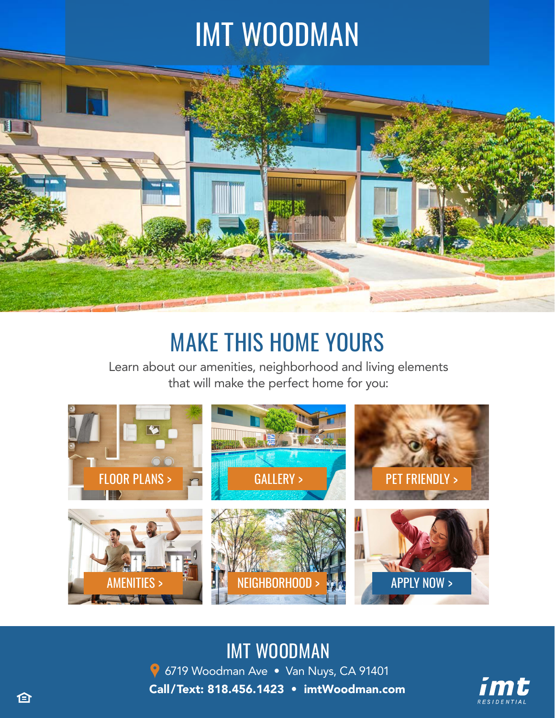# IMT WOODMAN



# MAKE THIS HOME YOURS

Learn about our amenities, neighborhood and living elements that will make the perfect home for you:



### IMT WOODMAN

**9** 6719 Woodman Ave • Van Nuys, CA 91401 Call/Text: 818.456.1423 • [imtWoodman.com](https://imtresidential.com/properties/imt-woodman?utm_source=website&utm_medium=ebrochure)